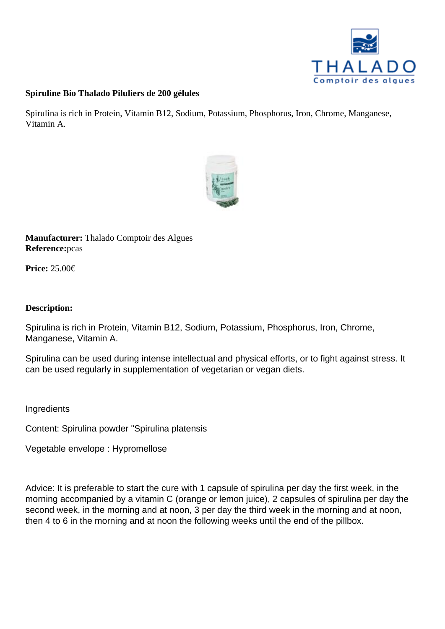Spiruline Bio Thalado Piluliers de 200 gélules

Spirulina is rich in Protein, Vitamin B12, Sodium, Potassium, Phosphorus, Iron, Chrome, Manganese, Vitamin A.

Manufacturer: Thalado Comptoir des Algues Referencepcas

Price: 25.00€

Description:

Spirulina is rich in Protein, Vitamin B12, Sodium, Potassium, Phosphorus, Iron, Chrome, Manganese, Vitamin A.

Spirulina can be used during intense intellectual and physical efforts, or to fight against stress. It can be used regularly in supplementation of vegetarian or vegan diets.

Ingredients

Content: Spirulina powder "Spirulina platensis

Vegetable envelope : Hypromellose

Advice: It is preferable to start the cure with 1 capsule of spirulina per day the first week, in the morning accompanied by a vitamin C (orange or lemon juice), 2 capsules of spirulina per day the second week, in the morning and at noon, 3 per day the third week in the morning and at noon, then 4 to 6 in the morning and at noon the following weeks until the end of the pillbox.